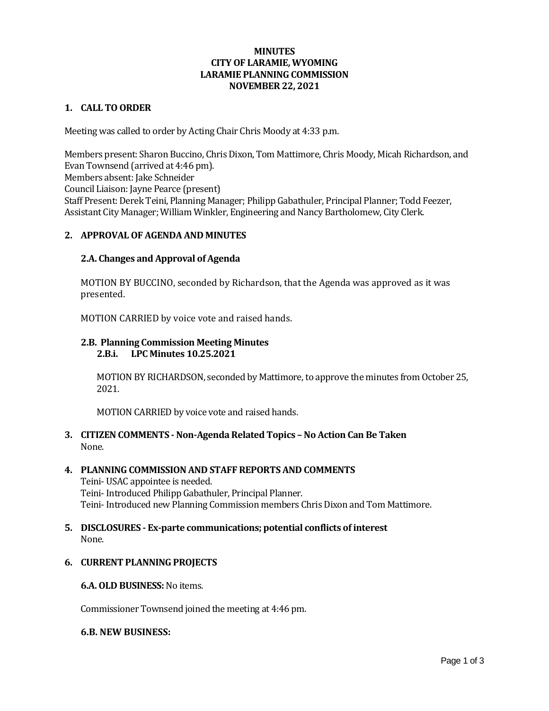### **MINUTES CITY OF LARAMIE, WYOMING LARAMIE PLANNING COMMISSION NOVEMBER 22, 2021**

### **1. CALL TO ORDER**

Meeting was called to order by Acting Chair Chris Moody at 4:33 p.m.

Members present: Sharon Buccino, Chris Dixon, Tom Mattimore, Chris Moody, Micah Richardson, and Evan Townsend (arrived at 4:46 pm). Members absent: Jake Schneider Council Liaison: Jayne Pearce (present) Staff Present: Derek Teini, Planning Manager; Philipp Gabathuler, Principal Planner; Todd Feezer, Assistant City Manager; William Winkler, Engineering and Nancy Bartholomew, City Clerk.

### **2. APPROVAL OF AGENDA AND MINUTES**

### **2.A. Changes and Approval of Agenda**

MOTION BY BUCCINO, seconded by Richardson, that the Agenda was approved as it was presented.

MOTION CARRIED by voice vote and raised hands.

#### **2.B. Planning Commission Meeting Minutes 2.B.i. LPC Minutes 10.25.2021**

MOTION BY RICHARDSON, seconded by Mattimore, to approve the minutes from October 25, 2021.

MOTION CARRIED by voice vote and raised hands.

**3. CITIZEN COMMENTS - Non-Agenda Related Topics – No Action Can Be Taken** None.

### **4. PLANNING COMMISSION AND STAFF REPORTS AND COMMENTS**

Teini- USAC appointee is needed. Teini- Introduced Philipp Gabathuler, Principal Planner. Teini- Introduced new Planning Commission members Chris Dixon and Tom Mattimore.

### **5. DISCLOSURES - Ex-parte communications; potential conflicts of interest** None.

### **6. CURRENT PLANNING PROJECTS**

#### **6.A. OLD BUSINESS:**No items.

Commissioner Townsend joined the meeting at 4:46 pm.

#### **6.B. NEW BUSINESS:**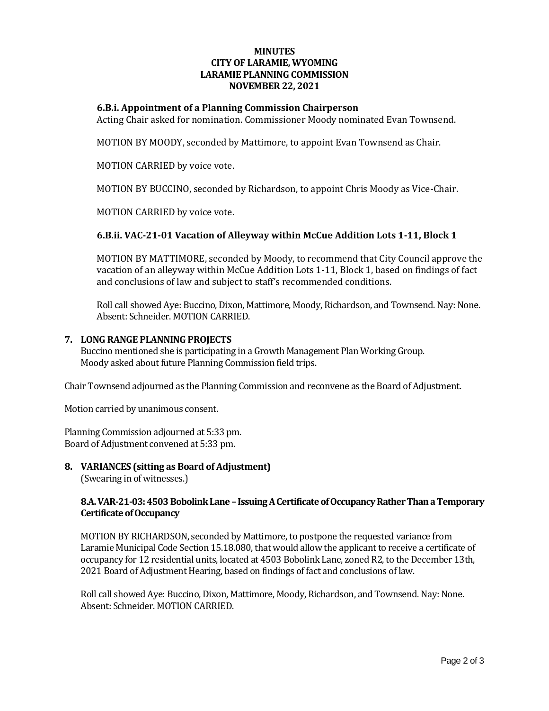### **MINUTES CITY OF LARAMIE, WYOMING LARAMIE PLANNING COMMISSION NOVEMBER 22, 2021**

### **6.B.i. Appointment of a Planning Commission Chairperson**

Acting Chair asked for nomination. Commissioner Moody nominated Evan Townsend.

MOTION BY MOODY, seconded by Mattimore, to appoint Evan Townsend as Chair.

MOTION CARRIED by voice vote.

MOTION BY BUCCINO, seconded by Richardson, to appoint Chris Moody as Vice-Chair.

MOTION CARRIED by voice vote.

### **6.B.ii. VAC-21-01 Vacation of Alleyway within McCue Addition Lots 1-11, Block 1**

MOTION BY MATTIMORE, seconded by Moody, to recommend that City Council approve the vacation of an alleyway within McCue Addition Lots 1-11, Block 1, based on findings of fact and conclusions of law and subject to staff's recommended conditions.

Roll call showed Aye: Buccino, Dixon, Mattimore, Moody, Richardson, and Townsend. Nay: None. Absent: Schneider. MOTION CARRIED.

### **7. LONG RANGE PLANNING PROJECTS**

Buccino mentioned she is participating in a Growth Management Plan Working Group. Moody asked about future Planning Commission field trips.

Chair Townsend adjourned as the Planning Commission and reconvene as the Board of Adjustment.

Motion carried by unanimous consent.

Planning Commission adjourned at 5:33 pm. Board of Adjustment convened at 5:33 pm.

## **8. VARIANCES (sitting as Board of Adjustment)**

(Swearing in of witnesses.)

### **8.A. VAR-21-03: 4503 Bobolink Lane –Issuing A Certificate of Occupancy Rather Than a Temporary Certificate of Occupancy**

MOTION BY RICHARDSON, seconded by Mattimore, to postpone the requested variance from Laramie Municipal Code Section 15.18.080, that would allow the applicant to receive a certificate of occupancy for 12 residential units, located at 4503 Bobolink Lane, zoned R2, to the December 13th, 2021 Board of Adjustment Hearing, based on findings of fact and conclusions of law.

Roll call showed Aye: Buccino, Dixon, Mattimore, Moody, Richardson, and Townsend. Nay: None. Absent: Schneider. MOTION CARRIED.